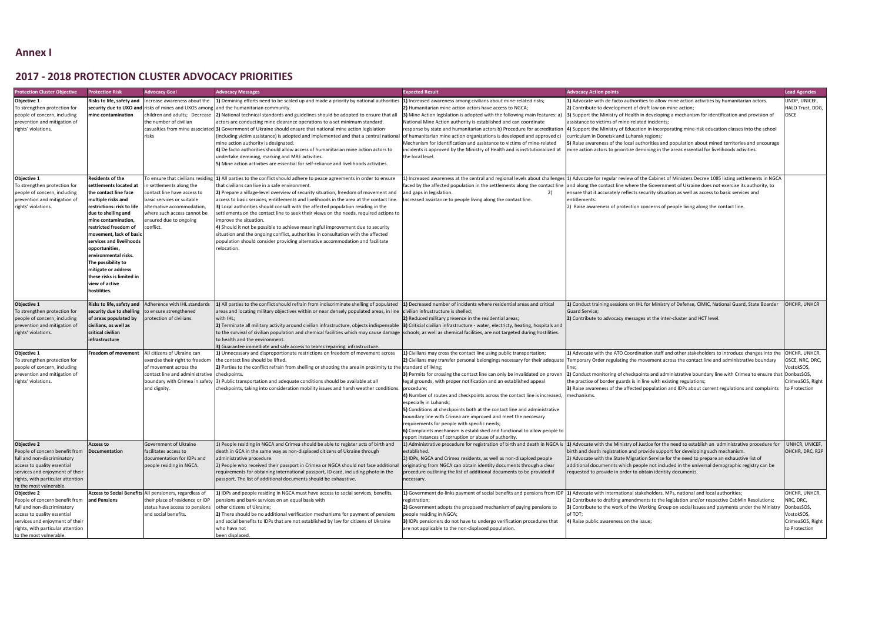## **Annex I**

## **2017 - 2018 PROTECTION CLUSTER ADVOCACY PRIORITIES**

| <b>rotection Cluster Objective</b>                                                                                                                                                                                    | <b>Protection Risk</b>                                                                                                                                                                                                                                                                                                                                                                                             | <b>Advocacy Goal</b>                                                                                                                                                                                                        | <b>Advocacy Messages</b>                                                                                                                                                                                                                                                                                                                                                                                                                                                                                                                                                                                                                                                                                                                                                                              | <b>Expected Result</b>                                                                                                                                                                                                                                                                                                                                                                                                                                                                                                                                                                                                                                                         | <b>Advocacy Action points</b>                                                                                                                                                                                                                                                                                                                                                                                                                                                                                                                                                                                                                                             | <b>Lead Agencies</b>                                                                   |
|-----------------------------------------------------------------------------------------------------------------------------------------------------------------------------------------------------------------------|--------------------------------------------------------------------------------------------------------------------------------------------------------------------------------------------------------------------------------------------------------------------------------------------------------------------------------------------------------------------------------------------------------------------|-----------------------------------------------------------------------------------------------------------------------------------------------------------------------------------------------------------------------------|-------------------------------------------------------------------------------------------------------------------------------------------------------------------------------------------------------------------------------------------------------------------------------------------------------------------------------------------------------------------------------------------------------------------------------------------------------------------------------------------------------------------------------------------------------------------------------------------------------------------------------------------------------------------------------------------------------------------------------------------------------------------------------------------------------|--------------------------------------------------------------------------------------------------------------------------------------------------------------------------------------------------------------------------------------------------------------------------------------------------------------------------------------------------------------------------------------------------------------------------------------------------------------------------------------------------------------------------------------------------------------------------------------------------------------------------------------------------------------------------------|---------------------------------------------------------------------------------------------------------------------------------------------------------------------------------------------------------------------------------------------------------------------------------------------------------------------------------------------------------------------------------------------------------------------------------------------------------------------------------------------------------------------------------------------------------------------------------------------------------------------------------------------------------------------------|----------------------------------------------------------------------------------------|
| Objective 1<br>To strengthen protection for<br>people of concern, including<br>prevention and mitigation of<br>rights' violations.                                                                                    | Risks to life, safety and<br>mine contamination                                                                                                                                                                                                                                                                                                                                                                    | Increase awareness about the<br>children and adults; Decrease<br>the number of civilian<br>casualties from mine associate<br>risks                                                                                          | 1) Demining efforts need to be scaled up and made a priority by national authorities<br>security due to UXO and risks of mines and UXOS among and the humanitarian community.<br>[2] National technical standards and guidelines should be adopted to ensure that all<br>actors are conducting mine clearance operations to a set minimum standard.<br>[3] Government of Ukraine should ensure that national mine action legislation<br>(including victim assistance) is adopted and implemented and that a central national<br>mine action authority is designated.<br>4) De facto authorities should allow access of humanitarian mine action actors to<br>undertake demining, marking and MRE activities.<br>5) Mine action activities are essential for self-reliance and livelihoods activities. | 1) Increased awareness among civilians about mine-related risks;<br>2) Humanitarian mine action actors have access to NGCA;<br>3) Mine Action legislation is adopted with the following main features: a)<br>National Mine Action authority is established and can coordinate<br>response by state and humanitarian actors b) Procedure for accreditation<br>of humanitarian mine action organizations is developed and approved c)<br>Mechanism for identification and assistance to victims of mine-related<br>incidents is approved by the Ministry of Health and is institutionalized at<br>the local level.                                                               | 1) Advocate with de facto authorities to allow mine action activities by humanitarian actors.<br>2) Contribute to development of draft law on mine action;<br>3) Support the Ministry of Health in developing a mechanism for identification and provision of<br>assistance to victims of mine-related incidents;<br>[4] Support the Ministry of Education in incorporating mine-risk education classes into the school<br>curriculum in Donetsk and Luhansk regions;<br>5) Raise awareness of the local authorities and population about mined territories and encourage<br>mine action actors to prioritize demining in the areas essential for livelihoods activities. | UNDP, UNICEI<br>HALO Trust, D<br><b>OSCE</b>                                           |
| Objective 1<br>To strengthen protection for<br>people of concern, including<br>prevention and mitigation of<br>rights' violations.                                                                                    | <b>Residents of the</b><br>settlements located at<br>the contact line face<br>multiple risks and<br>restrictions: risk to life<br>due to shelling and<br>mine contamination,<br>restricted freedom of<br>movement, lack of basic<br>services and livelihoods<br>opportunities,<br>environmental risks.<br>The possibility to<br>mitigate or address<br>these risks is limited in<br>view of active<br>hostilities. | To ensure that civilians residing<br>in settlements along the<br>ontact line have access to<br>basic services or suitable<br>alternative accommodation,<br>where such access cannot be<br>nsured due to ongoing<br>onflict. | 1) All parties to the conflict should adhere to peace agreements in order to ensure<br>that civilians can live in a safe environment.<br>[2] Prepare a village-level overview of security situation, freedom of movement and<br>access to basic services, entitlements and livelihoods in the area at the contact line.<br>3) Local authorities should consult with the affected population residing in the<br>settlements on the contact line to seek their views on the needs, required actions to<br>improve the situation.<br>4) Should it not be possible to achieve meaningful improvement due to security<br>situation and the ongoing conflict, authorities in consultation with the affected<br>population should consider providing alternative accommodation and facilitate<br>relocation  | and gaps in legislation.<br>2)<br>ncreased assistance to people living along the contact line.                                                                                                                                                                                                                                                                                                                                                                                                                                                                                                                                                                                 | 1) Increased awareness at the central and regional levels about challenges 11) Advocate for regular review of the Cabinet of Ministers Decree 1085 listing settlements in NGCA<br>faced by the affected population in the settlements along the contact line  and along the contact line where the Government of Ukraine does not exercise its authority, to<br>ensure that it accurately reflects security situation as well as access to basic services and<br>entitlements.<br>2) Raise awareness of protection concerns of people living along the contact line.                                                                                                      |                                                                                        |
| Objective 1<br>To strengthen protection for<br>people of concern, including<br>prevention and mitigation of<br>rights' violations.                                                                                    | Risks to life, safety and<br>security due to shelling<br>of areas populated by<br>civilians, as well as<br>critical civilian<br>infrastructure                                                                                                                                                                                                                                                                     | Adherence with IHL standards<br>o ensure strengthened<br>protection of civilians.                                                                                                                                           | 1) All parties to the conflict should refrain from indiscriminate shelling of populated<br>areas and locating military objectives within or near densely populated areas, in line civilian infrustructure is shelled;<br>with IHL;<br>2) Terminate all military activity around civilian infrastructure, objects indispensable<br>to the survival of civilian population and chemical facilities which may cause damage<br>to health and the environment.<br>3) Guarantee immediate and safe access to teams repairing infrastructure.                                                                                                                                                                                                                                                                | 1) Decreased number of incidents where residential areas and critical<br>2) Reduced military presence in the residential areas;<br>3) Criticial civilian infrastructure - water, electricty, heating, hospitals and<br>schools, as well as chemical facilities, are not targeted during hostilities.                                                                                                                                                                                                                                                                                                                                                                           | 1) Conduct training sessions on IHL for Ministry of Defense, CIMIC, National Guard, State Boarder<br><b>Guard Service;</b><br>2) Contribute to advocacy messages at the inter-cluster and HCT level.                                                                                                                                                                                                                                                                                                                                                                                                                                                                      | OHCHR, UNHO                                                                            |
| Objective 1<br>To strengthen protection for<br>people of concern, including<br>prevention and mitigation of<br>rights' violations.                                                                                    | Freedom of movement                                                                                                                                                                                                                                                                                                                                                                                                | All citizens of Ukraine can<br>exercise their right to freedom<br>of movement across the<br>contact line and administrative<br>boundary with Crimea in safety<br>and dignity.                                               | 1) Unnecessary and disproportionate restrictions on freedom of movement across<br>the contact line should be lifted.<br>2) Parties to the conflict refrain from shelling or shooting the area in proximity to the standard of living;<br>checkpoints.<br>3) Public transportation and adequate conditions should be available at all<br>checkpoints, taking into consideration mobility issues and harsh weather conditions.                                                                                                                                                                                                                                                                                                                                                                          | 1) Civilians may cross the contact line using public transportation;<br>3) Permits for crossing the contact line can only be invalidated on proven<br>legal grounds, with proper notification and an established appeal<br>procedure;<br>4) Number of routes and checkpoints across the contact line is increased,<br>especially in Luhansk;<br>5) Conditions at checkpoints both at the contact line and administrative<br>boundary line with Crimea are improved and meet the neccesary<br>requirements for people with specific needs;<br>6) Complaints mechanism is established and functional to allow people to<br>report instances of corruption or abuse of authority. | 1) Advocate with the ATO Coordination staff and other stakeholders to introduce changes into the<br>2) Civilians may transfer personal belongings necessary for their adequate   Temporary Order regulating the movement across the contact line and administrative boundary<br>[2] Conduct monitoring of checkpoints and administrative boundary line with Crimea to ensure that DonbasSOS,<br>the practice of border guards is in line with existing regulations;<br>3) Raise awareness of the affected population and IDPs about current regulations and complaints<br>mechanisms                                                                                      | OHCHR, UNHO<br>OSCE, NRC, DI<br>VostokSOS,<br>CrimeaSOS, Ri<br>to Protection           |
| <b>Objective 2</b><br>People of concern benefit from<br>full and non-discriminatory<br>access to quality essential<br>services and enjoyment of their<br>rights, with particular attention<br>to the most vulnerable. | <b>Access to</b><br>Documentation                                                                                                                                                                                                                                                                                                                                                                                  | Government of Ukraine<br>facilitates access to<br>documentation for IDPs and<br>people residing in NGCA.                                                                                                                    | 1) People residing in NGCA and Crimea should be able to register acts of birth and<br>death in GCA in the same way as non-displaced citizens of Ukraine through<br>administrative procedure.<br>2) People who received their passport in Crimea or NGCA should not face additional<br>requirements for obtaining international passport, ID card, including photo in the<br>passport. The list of additional documents should be exhaustive.                                                                                                                                                                                                                                                                                                                                                          | established.<br>2) IDPs, NGCA and Crimea residents, as well as non-disaplced people<br>originating from NGCA can obtain identity documents through a clear<br>procedure outlining the list of additional documents to be provided if<br>necessary.                                                                                                                                                                                                                                                                                                                                                                                                                             | 1) Administrative procedure for registration of birth and death in NGCA is  1) Advocate with the Ministry of Justice for the need to establish an administrative procedure for<br>birth and death registration and provide support for developing such mechanism.<br>2) Advocate with the State Migration Service for the need to prepare an exhaustive list of<br>additional documennts which people not included in the universal demographic registry can be<br>requested to provide in order to obtain identity documents.                                                                                                                                            | UNHCR, UNIC<br>OHCHR, DRC,                                                             |
| Objective 2<br>People of concern benefit from<br>full and non-discriminatory<br>access to quality essential<br>services and enjoyment of their<br>rights, with particular attention<br>to the most vulnerable.        | and Pensions                                                                                                                                                                                                                                                                                                                                                                                                       | Access to Social Benefits All pensioners, regardless of<br>their place of residence or IDP<br>status have access to pensions<br>and social benefits.                                                                        | 1) IDPs and people residing in NGCA must have access to social services, benefits,<br>pensions and bank services on an equal basis with<br>other citizens of Ukraine;<br>2) There should be no additional verification mechanisms for payment of pensions<br>and social benefits to IDPs that are not established by law for citizens of Ukraine<br>who have not<br>been displaced.                                                                                                                                                                                                                                                                                                                                                                                                                   | registration;<br>2) Government adopts the proposed mechanism of paying pensions to<br>people residing in NGCA;<br>3) IDPs pensioners do not have to undergo verification procedures that<br>are not applicable to the non-displaced population.                                                                                                                                                                                                                                                                                                                                                                                                                                | 1) Government de-links payment of social benefits and pensions from IDP  1) Advocate with international stakeholders, MPs, national and local authorities;<br>2) Contribute to drafting amendments to the legislation and/or respective CabMin Resolutions;<br>3) Contribute to the work of the Working Group on social issues and payments under the Ministr<br>of TOT;<br>4) Raise public awareness on the issue;                                                                                                                                                                                                                                                       | OHCHR, UNHO<br>NRC, DRC,<br>DonbasSOS,<br>VostokSOS,<br>CrimeaSOS, Ri<br>to Protection |

| <b>Advocacy Action points</b>                                                                                                                                                                                                                                                                                                                                                                                                                                                                                                                                                                                                                                            | <b>Lead Agencies</b>                                                                        |
|--------------------------------------------------------------------------------------------------------------------------------------------------------------------------------------------------------------------------------------------------------------------------------------------------------------------------------------------------------------------------------------------------------------------------------------------------------------------------------------------------------------------------------------------------------------------------------------------------------------------------------------------------------------------------|---------------------------------------------------------------------------------------------|
| 1) Advocate with de facto authorities to allow mine action activities by humanitarian actors.<br>2) Contribute to development of draft law on mine action;<br>3) Support the Ministry of Health in developing a mechanism for identification and provision of<br>assistance to victims of mine-related incidents;<br>4) Support the Ministry of Education in incorporating mine-risk education classes into the school<br>curriculum in Donetsk and Luhansk regions;<br>5) Raise awareness of the local authorities and population about mined territories and encourage<br>mine action actors to prioritize demining in the areas essential for livelihoods activities. | UNDP, UNICEF,<br>HALO Trust, DDG,<br><b>OSCE</b>                                            |
| 1) Advocate for regular review of the Cabinet of Ministers Decree 1085 listing settlements in NGCA<br>and along the contact line where the Government of Ukraine does not exercise its authority, to<br>ensure that it accurately reflects security situation as well as access to basic services and<br>entitlements.<br>2) Raise awareness of protection concerns of people living along the contact line.                                                                                                                                                                                                                                                             |                                                                                             |
| 1) Conduct training sessions on IHL for Ministry of Defense, CIMIC, National Guard, State Boarder<br><b>Guard Service;</b><br>2) Contribute to advocacy messages at the inter-cluster and HCT level.                                                                                                                                                                                                                                                                                                                                                                                                                                                                     | OHCHR, UNHCR                                                                                |
| 1) Advocate with the ATO Coordination staff and other stakeholders to introduce changes into the<br>Temporary Order regulating the movement across the contact line and administrative boundary<br>line;<br>2) Conduct monitoring of checkpoints and administrative boundary line with Crimea to ensure that  DonbasSOS,<br>the practice of border guards is in line with existing regulations;<br>3) Raise awareness of the affected population and IDPs about current regulations and complaints<br>mechanisms.                                                                                                                                                        | OHCHR, UNHCR,<br>OSCE, NRC, DRC,<br>VostokSOS,<br>CrimeaSOS, Right<br>to Protection         |
| 1) Advocate with the Ministry of Justice for the need to establish an administrative procedure for<br>birth and death registration and provide support for developing such mechanism.<br>2) Advocate with the State Migration Service for the need to prepare an exhaustive list of<br>additional documennts which people not included in the universal demographic registry can be<br>requested to provide in order to obtain identity documents.                                                                                                                                                                                                                       | UNHCR, UNICEF,<br>OHCHR, DRC, R2P                                                           |
| 1) Advocate with international stakeholders, MPs, national and local authorities;<br>2) Contribute to drafting amendments to the legislation and/or respective CabMin Resolutions;<br>3) Contribute to the work of the Working Group on social issues and payments under the Ministry<br>of TOT;<br>4) Raise public awareness on the issue;                                                                                                                                                                                                                                                                                                                              | OHCHR, UNHCR,<br>NRC, DRC,<br>DonbasSOS,<br>VostokSOS,<br>CrimeaSOS, Right<br>to Protection |